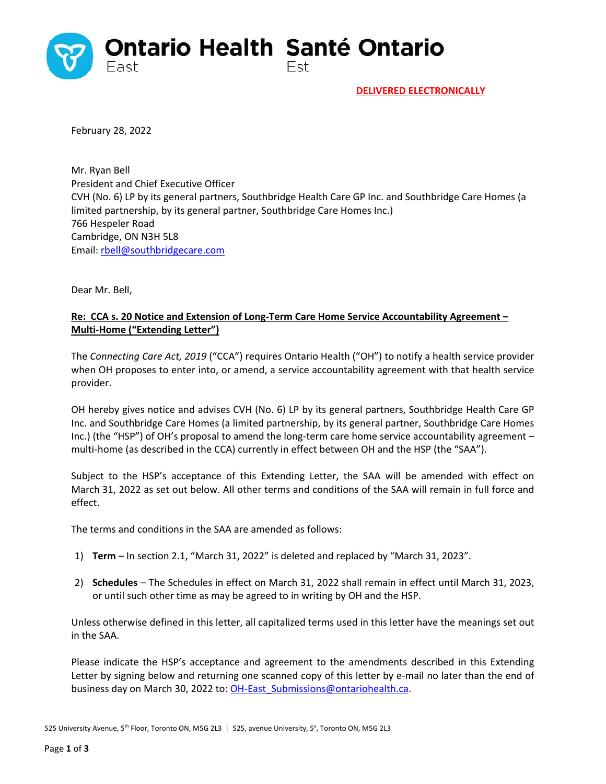

February 28, 2022

Mr. Ryan Bell President and Chief Executive Officer CVH (No. 6) LP by its general partners, Southbridge Health Care GP Inc. and Southbridge Care Homes (a limited partnership, by its general partner, Southbridge Care Homes Inc.) 766 Hespeler Road Cambridge, ON N3H 5L8 Email: rbell@southbridgecare.com

Dear Mr. Bell,

## **Re: CCA s. 20 Notice and Extension of Long‐Term Care Home Service Accountability Agreement – Multi‐Home ("Extending Letter")**

The *Connecting Care Act, 2019* ("CCA") requires Ontario Health ("OH") to notify a health service provider when OH proposes to enter into, or amend, a service accountability agreement with that health service provider.

OH hereby gives notice and advises CVH (No. 6) LP by its general partners, Southbridge Health Care GP Inc. and Southbridge Care Homes (a limited partnership, by its general partner, Southbridge Care Homes Inc.) (the "HSP") of OH's proposal to amend the long-term care home service accountability agreement – multi-home (as described in the CCA) currently in effect between OH and the HSP (the "SAA").

Subject to the HSP's acceptance of this Extending Letter, the SAA will be amended with effect on March 31, 2022 as set out below. All other terms and conditions of the SAA will remain in full force and effect.

The terms and conditions in the SAA are amended as follows:

- 1) **Term** In section 2.1, "March 31, 2022" is deleted and replaced by "March 31, 2023".
- 2) **Schedules**  The Schedules in effect on March 31, 2022 shall remain in effect until March 31, 2023, or until such other time as may be agreed to in writing by OH and the HSP.

Unless otherwise defined in this letter, all capitalized terms used in this letter have the meanings set out in the SAA.

Please indicate the HSP's acceptance and agreement to the amendments described in this Extending Letter by signing below and returning one scanned copy of this letter by e-mail no later than the end of business day on March 30, 2022 to: OH-East\_Submissions@ontariohealth.ca.

525 University Avenue, 5<sup>th</sup> Floor, Toronto ON, M5G 2L3 | 525, avenue University, 5<sup>e</sup>, Toronto ON, M5G 2L3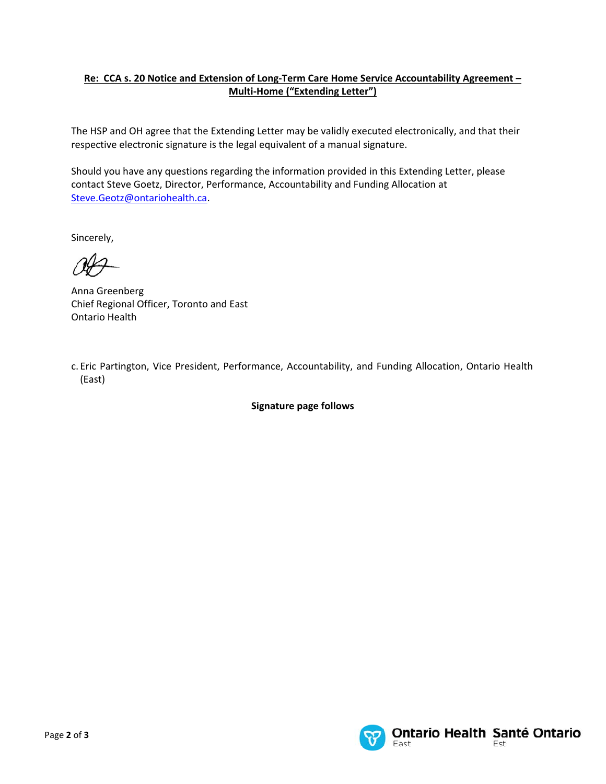## **Re: CCA s. 20 Notice and Extension of Long‐Term Care Home Service Accountability Agreement – Multi‐Home ("Extending Letter")**

The HSP and OH agree that the Extending Letter may be validly executed electronically, and that their respective electronic signature is the legal equivalent of a manual signature.

Should you have any questions regarding the information provided in this Extending Letter, please contact Steve Goetz, Director, Performance, Accountability and Funding Allocation at Steve.Geotz@ontariohealth.ca.

Sincerely,

Anna Greenberg Chief Regional Officer, Toronto and East Ontario Health

c. Eric Partington, Vice President, Performance, Accountability, and Funding Allocation, Ontario Health (East)

**Signature page follows**